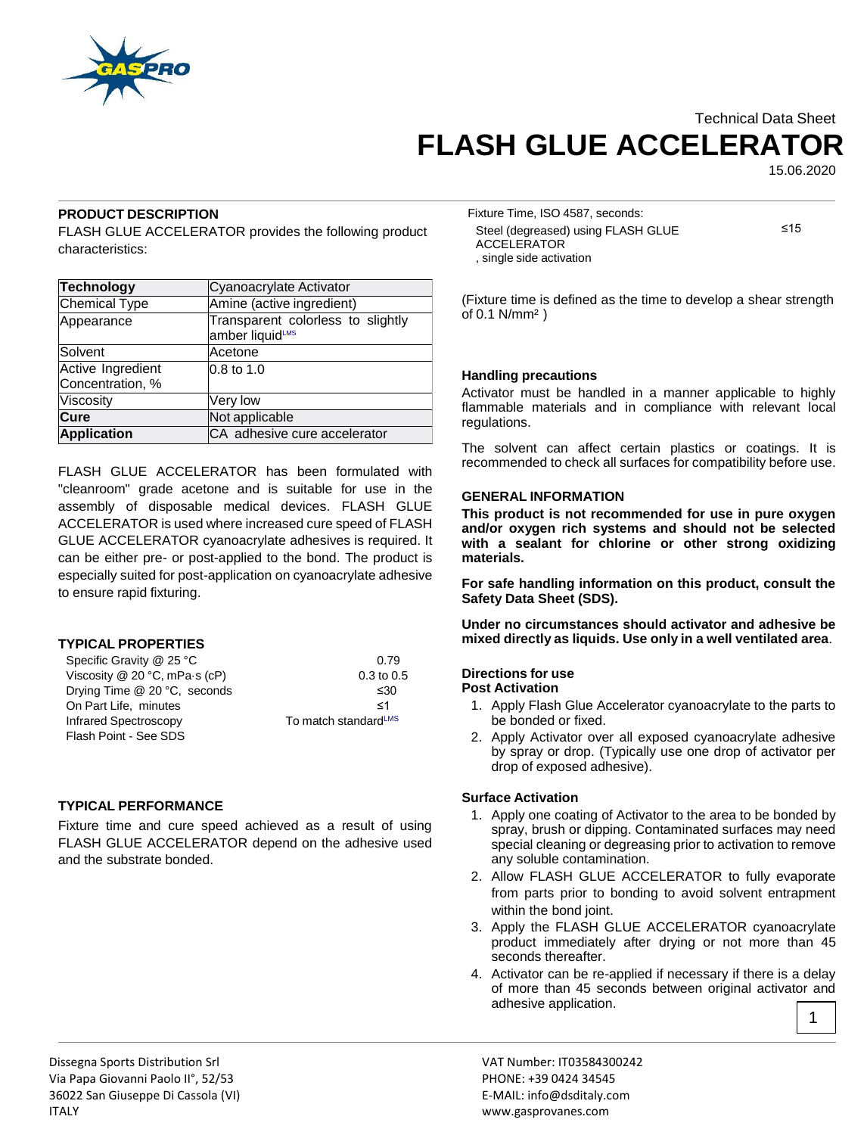

# Technical Data Sheet **FLASH GLUE ACCELERATOR**

15.06.2020

# **PRODUCT DESCRIPTION**

FLASH GLUE ACCELERATOR provides the following product characteristics:

| <b>Technology</b>                     | Cyanoacrylate Activator                              |
|---------------------------------------|------------------------------------------------------|
| <b>Chemical Type</b>                  | Amine (active ingredient)                            |
| Appearance                            | Transparent colorless to slightly<br>amber liquidLMS |
| Solvent                               | Acetone                                              |
| Active Ingredient<br>Concentration, % | $0.8$ to 1.0                                         |
| Viscosity                             | Very low                                             |
| Cure                                  | Not applicable                                       |
| <b>Application</b>                    | CA adhesive cure accelerator                         |

FLASH GLUE ACCELERATOR has been formulated with "cleanroom" grade acetone and is suitable for use in the assembly of disposable medical devices. FLASH GLUE ACCELERATOR is used where increased cure speed of FLASH GLUE ACCELERATOR cyanoacrylate adhesives is required. It can be either pre- or post-applied to the bond. The product is especially suited for post-application on cyanoacrylate adhesive to ensure rapid fixturing.

## **TYPICAL PROPERTIES**

| Specific Gravity @ 25 °C      | 0.79                             |
|-------------------------------|----------------------------------|
| Viscosity @ 20 °C, mPa-s (cP) | $0.3$ to $0.5$                   |
| Drying Time @ 20 °C, seconds  | ≤30                              |
| On Part Life, minutes         | -≺1                              |
| Infrared Spectroscopy         | To match standard <sup>LMS</sup> |
| Flash Point - See SDS         |                                  |

## **TYPICAL PERFORMANCE**

Fixture time and cure speed achieved as a result of using FLASH GLUE ACCELERATOR depend on the adhesive used and the substrate bonded.

Fixture Time, ISO 4587, seconds: Steel (degreased) using FLASH GLUE ACCELERATOR , single side activation

≤15

(Fixture time is defined as the time to develop a shear strength of 0.1 N/mm² )

## **Handling precautions**

Activator must be handled in a manner applicable to highly flammable materials and in compliance with relevant local regulations.

The solvent can affect certain plastics or coatings. It is recommended to check all surfaces for compatibility before use.

## **GENERAL INFORMATION**

**This product is not recommended for use in pure oxygen and/or oxygen rich systems and should not be selected with a sealant for chlorine or other strong oxidizing materials.**

**For safe handling information on this product, consult the Safety Data Sheet (SDS).**

**Under no circumstances should activator and adhesive be mixed directly as liquids. Use only in a well ventilated area**.

#### **Directions for use Post Activation**

- 1. Apply Flash Glue Accelerator cyanoacrylate to the parts to be bonded or fixed.
- 2. Apply Activator over all exposed cyanoacrylate adhesive by spray or drop. (Typically use one drop of activator per drop of exposed adhesive).

## **Surface Activation**

- 1. Apply one coating of Activator to the area to be bonded by spray, brush or dipping. Contaminated surfaces may need special cleaning or degreasing prior to activation to remove any soluble contamination.
- 2. Allow FLASH GLUE ACCELERATOR to fully evaporate from parts prior to bonding to avoid solvent entrapment within the bond joint.
- 3. Apply the FLASH GLUE ACCELERATOR cyanoacrylate product immediately after drying or not more than 45 seconds thereafter.
- 4. Activator can be re-applied if necessary if there is a delay of more than 45 seconds between original activator and adhesive application. 1

Dissegna Sports Distribution Srl VAT Number: IT03584300242 Via Papa Giovanni Paolo II°, 52/53 PHONE: +39 0424 34545 36022 San Giuseppe Di Cassola (VI) E-MAIL: info@dsditaly.com ITALY www.gasprovanes.com